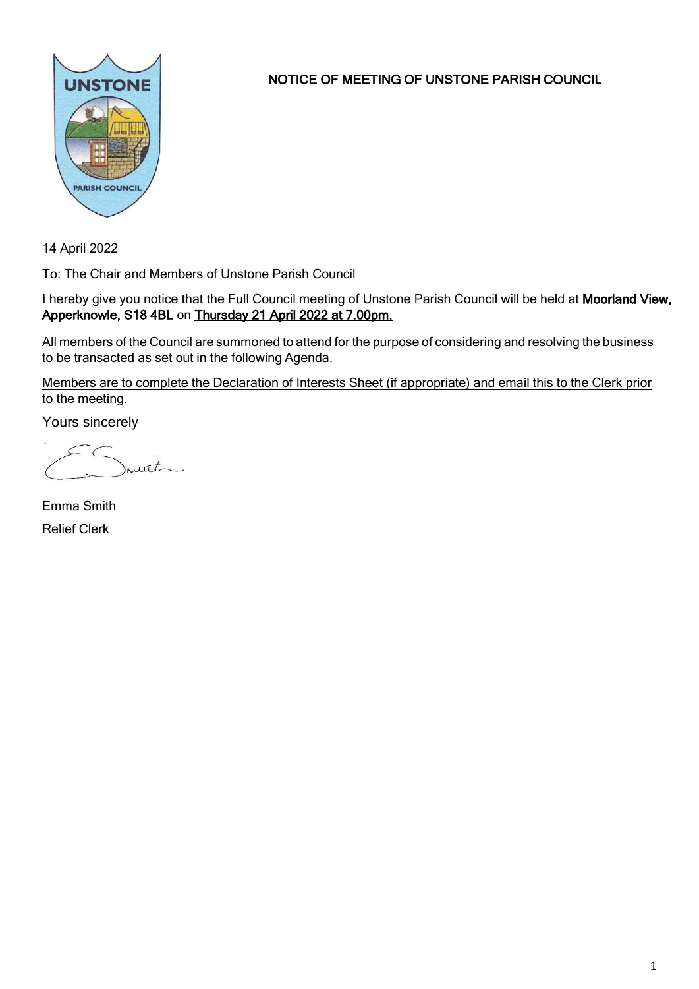

NOTICE OF MEETING OF UNSTONE PARISH COUNCIL

14 April 2022

To: The Chair and Members of Unstone Parish Council

I hereby give you notice that the Full Council meeting of Unstone Parish Council will be held at Moorland View, Apperknowle, S18 4BL on Thursday 21 April 2022 at 7.00pm.

All members of the Council are summoned to attend for the purpose of considering and resolving the business to be transacted as set out in the following Agenda.

Members are to complete the Declaration of Interests Sheet (if appropriate) and email this to the Clerk prior to the meeting.

Yours sincerely

munt

Emma Smith Relief Clerk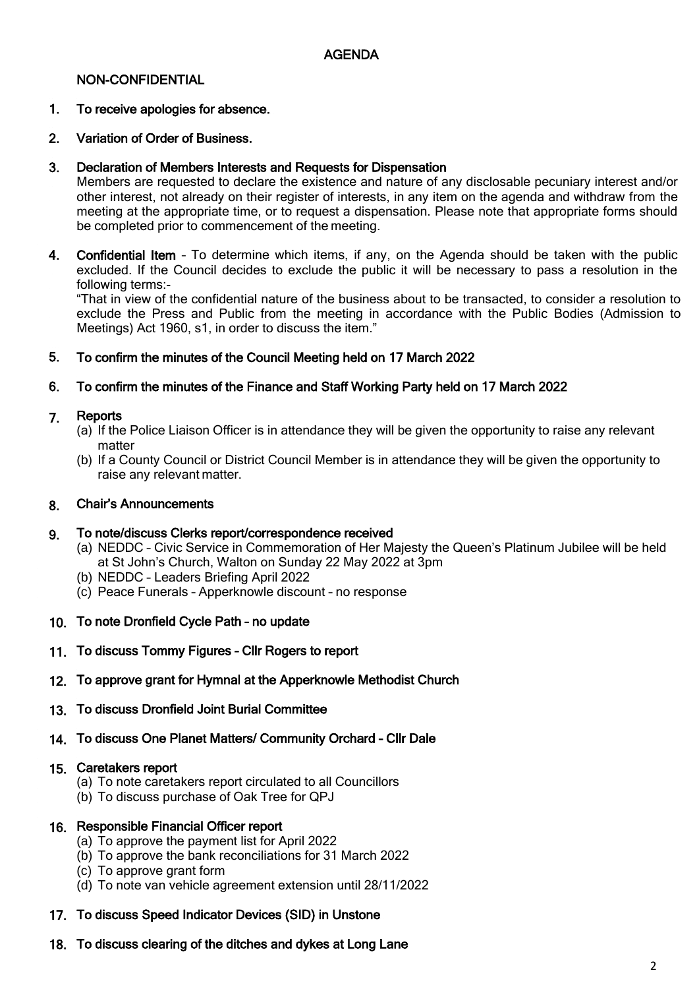### NON-CONFIDENTIAL

### 1. To receive apologies for absence.

### 2. Variation of Order of Business.

#### 3. Declaration of Members Interests and Requests for Dispensation

Members are requested to declare the existence and nature of any disclosable pecuniary interest and/or other interest, not already on their register of interests, in any item on the agenda and withdraw from the meeting at the appropriate time, or to request a dispensation. Please note that appropriate forms should be completed prior to commencement of the meeting.

4. Confidential Item – To determine which items, if any, on the Agenda should be taken with the public excluded. If the Council decides to exclude the public it will be necessary to pass a resolution in the following terms:-

"That in view of the confidential nature of the business about to be transacted, to consider a resolution to exclude the Press and Public from the meeting in accordance with the Public Bodies (Admission to Meetings) Act 1960, s1, in order to discuss the item."

### 5. To confirm the minutes of the Council Meeting held on 17 March 2022

### 6. To confirm the minutes of the Finance and Staff Working Party held on 17 March 2022

#### 7. **Reports**

- (a) If the Police Liaison Officer is in attendance they will be given the opportunity to raise any relevant matter
- (b) If a County Council or District Council Member is in attendance they will be given the opportunity to raise any relevant matter.

#### 8. Chair's Announcements

#### 9. To note/discuss Clerks report/correspondence received

- (a) NEDDC Civic Service in Commemoration of Her Majesty the Queen's Platinum Jubilee will be held at St John's Church, Walton on Sunday 22 May 2022 at 3pm
- (b) NEDDC Leaders Briefing April 2022
- (c) Peace Funerals Apperknowle discount no response
- 10. To note Dronfield Cycle Path no update
- 11. To discuss Tommy Figures Cllr Rogers to report
- 12. To approve grant for Hymnal at the Apperknowle Methodist Church
- 13. To discuss Dronfield Joint Burial Committee
- 14. To discuss One Planet Matters/ Community Orchard Cllr Dale

### 15. Caretakers report

- (a) To note caretakers report circulated to all Councillors
- (b) To discuss purchase of Oak Tree for QPJ

### 16. Responsible Financial Officer report

- (a) To approve the payment list for April 2022
- (b) To approve the bank reconciliations for 31 March 2022
- (c) To approve grant form
- (d) To note van vehicle agreement extension until 28/11/2022

### 17. To discuss Speed Indicator Devices (SID) in Unstone

18. To discuss clearing of the ditches and dykes at Long Lane